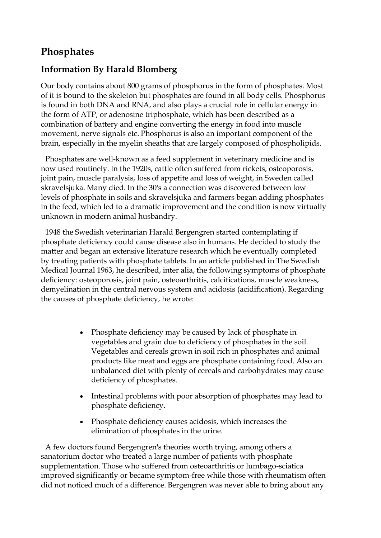## **Phosphates**

## **Information By Harald Blomberg**

Our body contains about 800 grams of phosphorus in the form of phosphates. Most of it is bound to the skeleton but phosphates are found in all body cells. Phosphorus is found in both DNA and RNA, and also plays a crucial role in cellular energy in the form of ATP, or adenosine triphosphate, which has been described as a combination of battery and engine converting the energy in food into muscle movement, nerve signals etc. Phosphorus is also an important component of the brain, especially in the myelin sheaths that are largely composed of phospholipids.

Phosphates are well-known as a feed supplement in veterinary medicine and is now used routinely. In the 1920s, cattle often suffered from rickets, osteoporosis, joint pain, muscle paralysis, loss of appetite and loss of weight, in Sweden called skravelsjuka. Many died. In the 30's a connection was discovered between low levels of phosphate in soils and skravelsjuka and farmers began adding phosphates in the feed, which led to a dramatic improvement and the condition is now virtually unknown in modern animal husbandry.

1948 the Swedish veterinarian Harald Bergengren started contemplating if phosphate deficiency could cause disease also in humans. He decided to study the matter and began an extensive literature research which he eventually completed by treating patients with phosphate tablets. In an article published in The Swedish Medical Journal 1963, he described, inter alia, the following symptoms of phosphate deficiency: osteoporosis, joint pain, osteoarthritis, calcifications, muscle weakness, demyelination in the central nervous system and acidosis (acidification). Regarding the causes of phosphate deficiency, he wrote:

- Phosphate deficiency may be caused by lack of phosphate in vegetables and grain due to deficiency of phosphates in the soil. Vegetables and cereals grown in soil rich in phosphates and animal products like meat and eggs are phosphate containing food. Also an unbalanced diet with plenty of cereals and carbohydrates may cause deficiency of phosphates.
- Intestinal problems with poor absorption of phosphates may lead to phosphate deficiency.
- Phosphate deficiency causes acidosis, which increases the elimination of phosphates in the urine.

A few doctors found Bergengren's theories worth trying, among others a sanatorium doctor who treated a large number of patients with phosphate supplementation. Those who suffered from osteoarthritis or lumbago-sciatica improved significantly or became symptom-free while those with rheumatism often did not noticed much of a difference. Bergengren was never able to bring about any